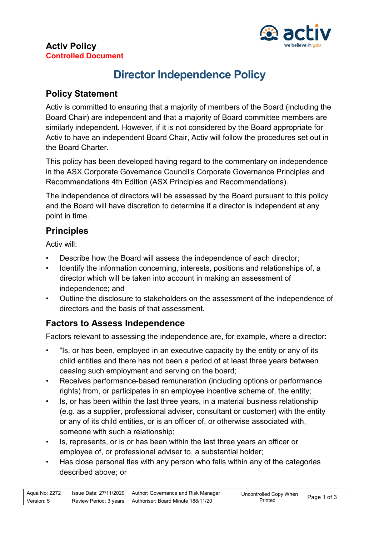

#### **Activ Policy Controlled Document**

# **Director Independence Policy**

## **Policy Statement**

Activ is committed to ensuring that a majority of members of the Board (including the Board Chair) are independent and that a majority of Board committee members are similarly independent. However, if it is not considered by the Board appropriate for Activ to have an independent Board Chair, Activ will follow the procedures set out in the Board Charter.

This policy has been developed having regard to the commentary on independence in the ASX Corporate Governance Council's Corporate Governance Principles and Recommendations 4th Edition (ASX Principles and Recommendations).

The independence of directors will be assessed by the Board pursuant to this policy and the Board will have discretion to determine if a director is independent at any point in time.

## **Principles**

Activ will:

- Describe how the Board will assess the independence of each director;
- Identify the information concerning, interests, positions and relationships of, a director which will be taken into account in making an assessment of independence; and
- Outline the disclosure to stakeholders on the assessment of the independence of directors and the basis of that assessment.

## **Factors to Assess Independence**

Factors relevant to assessing the independence are, for example, where a director:

- "Is, or has been, employed in an executive capacity by the entity or any of its child entities and there has not been a period of at least three years between ceasing such employment and serving on the board;
- Receives performance-based remuneration (including options or performance rights) from, or participates in an employee incentive scheme of, the entity;
- Is, or has been within the last three years, in a material business relationship (e.g. as a supplier, professional adviser, consultant or customer) with the entity or any of its child entities, or is an officer of, or otherwise associated with, someone with such a relationship;
- Is, represents, or is or has been within the last three years an officer or employee of, or professional adviser to, a substantial holder;
- Has close personal ties with any person who falls within any of the categories described above; or

| Aqua No: 2272 | Issue Date: 27/11/2020 Author: Governance and Risk Manager | Uncontrolled Copy When<br>Page 1 of 3 |  |
|---------------|------------------------------------------------------------|---------------------------------------|--|
| Version: 5    | Review Period: 3 years Authoriser: Board Minute 188/11/20  | Printed                               |  |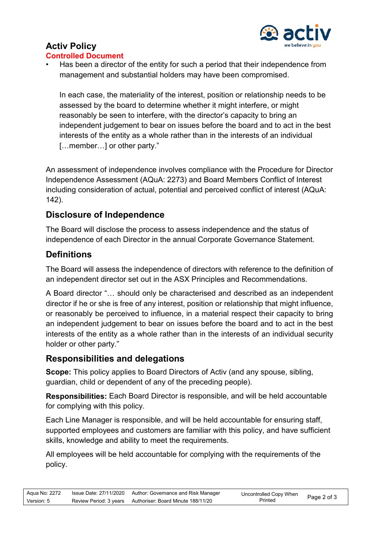

# **Activ Policy**

#### **Controlled Document**

Has been a director of the entity for such a period that their independence from management and substantial holders may have been compromised.

In each case, the materiality of the interest, position or relationship needs to be assessed by the board to determine whether it might interfere, or might reasonably be seen to interfere, with the director's capacity to bring an independent judgement to bear on issues before the board and to act in the best interests of the entity as a whole rather than in the interests of an individual [...member...] or other party."

An assessment of independence involves compliance with the Procedure for Director Independence Assessment (AQuA: 2273) and Board Members Conflict of Interest including consideration of actual, potential and perceived conflict of interest (AQuA: 142).

### **Disclosure of Independence**

The Board will disclose the process to assess independence and the status of independence of each Director in the annual Corporate Governance Statement.

## **Definitions**

The Board will assess the independence of directors with reference to the definition of an independent director set out in the ASX Principles and Recommendations.

A Board director "… should only be characterised and described as an independent director if he or she is free of any interest, position or relationship that might influence, or reasonably be perceived to influence, in a material respect their capacity to bring an independent judgement to bear on issues before the board and to act in the best interests of the entity as a whole rather than in the interests of an individual security holder or other party."

### **Responsibilities and delegations**

**Scope:** This policy applies to Board Directors of Activ (and any spouse, sibling, guardian, child or dependent of any of the preceding people).

**Responsibilities:** Each Board Director is responsible, and will be held accountable for complying with this policy.

Each Line Manager is responsible, and will be held accountable for ensuring staff, supported employees and customers are familiar with this policy, and have sufficient skills, knowledge and ability to meet the requirements.

All employees will be held accountable for complying with the requirements of the policy.